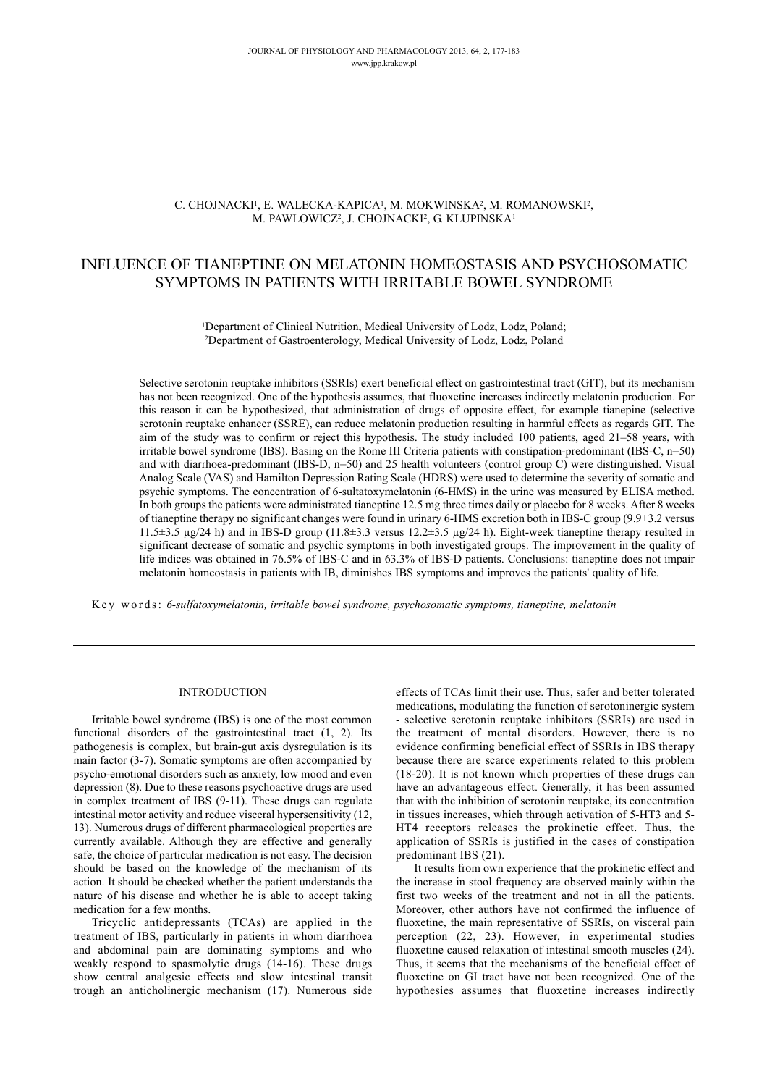# C. CHOJNACKI1, E. WALECKA-KAPICA1, M. MOKWINSKA2, M. ROMANOWSKI2, M. PAWLOWICZ<sup>2</sup>, J. CHOJNACKI<sup>2</sup>, G. KLUPINSKA<sup>1</sup>

# INFLUENCE OF TIANEPTINE ON MELATONIN HOMEOSTASIS AND PSYCHOSOMATIC SYMPTOMS IN PATIENTS WITH IRRITABLE BOWEL SYNDROME

<sup>1</sup>Department of Clinical Nutrition, Medical University of Lodz, Lodz, Poland; 2Department of Gastroenterology, Medical University of Lodz, Lodz, Poland

Selective serotonin reuptake inhibitors (SSRIs) exert beneficial effect on gastrointestinal tract (GIT), but its mechanism has not been recognized. One of the hypothesis assumes, that fluoxetine increases indirectly melatonin production. For this reason it can be hypothesized, that administration of drugs of opposite effect, for example tianepine (selective serotonin reuptake enhancer (SSRE), can reduce melatonin production resulting in harmful effects as regards GIT. The aim of the study was to confirm or reject this hypothesis. The study included 100 patients, aged 21–58 years, with irritable bowel syndrome (IBS). Basing on the Rome III Criteria patients with constipation-predominant (IBS-C, n=50) and with diarrhoea-predominant (IBS-D, n=50) and 25 health volunteers (control group C) were distinguished. Visual Analog Scale (VAS) and Hamilton Depression Rating Scale (HDRS) were used to determine the severity of somatic and psychic symptoms. The concentration of 6-sultatoxymelatonin (6-HMS) in the urine was measured by ELISA method. In both groups the patients were administrated tianeptine 12.5 mg three times daily or placebo for 8 weeks. After 8 weeks of tianeptine therapy no significant changes were found in urinary 6-HMS excretion both in IBS-C group (9.9±3.2 versus 11.5 $\pm$ 3.5 µg/24 h) and in IBS-D group (11.8 $\pm$ 3.3 versus 12.2 $\pm$ 3.5 µg/24 h). Eight-week tianeptine therapy resulted in significant decrease of somatic and psychic symptoms in both investigated groups. The improvement in the quality of life indices was obtained in 76.5% of IBS-C and in 63.3% of IBS-D patients. Conclusions: tianeptine does not impair melatonin homeostasis in patients with IB, diminishes IBS symptoms and improves the patients' quality of life.

Key words: *6-sulfatoxymelatonin, irritable bowel syndrome, psychosomatic symptoms, tianeptine, melatonin*

## INTRODUCTION

Irritable bowel syndrome (IBS) is one of the most common functional disorders of the gastrointestinal tract (1, 2). Its pathogenesis is complex, but brain-gut axis dysregulation is its main factor (3-7). Somatic symptoms are often accompanied by psycho-emotional disorders such as anxiety, low mood and even depression (8). Due to these reasons psychoactive drugs are used in complex treatment of IBS (9-11). These drugs can regulate intestinal motor activity and reduce visceral hypersensitivity (12, 13). Numerous drugs of different pharmacological properties are currently available. Although they are effective and generally safe, the choice of particular medication is not easy. The decision should be based on the knowledge of the mechanism of its action. It should be checked whether the patient understands the nature of his disease and whether he is able to accept taking medication for a few months.

Tricyclic antidepressants (TCAs) are applied in the treatment of IBS, particularly in patients in whom diarrhoea and abdominal pain are dominating symptoms and who weakly respond to spasmolytic drugs (14-16). These drugs show central analgesic effects and slow intestinal transit trough an anticholinergic mechanism (17). Numerous side effects of TCAs limit their use. Thus, safer and better tolerated medications, modulating the function of serotoninergic system - selective serotonin reuptake inhibitors (SSRIs) are used in the treatment of mental disorders. However, there is no evidence confirming beneficial effect of SSRIs in IBS therapy because there are scarce experiments related to this problem (18-20). It is not known which properties of these drugs can have an advantageous effect. Generally, it has been assumed that with the inhibition of serotonin reuptake, its concentration in tissues increases, which through activation of 5-HT3 and 5- HT4 receptors releases the prokinetic effect. Thus, the application of SSRIs is justified in the cases of constipation predominant IBS (21).

It results from own experience that the prokinetic effect and the increase in stool frequency are observed mainly within the first two weeks of the treatment and not in all the patients. Moreover, other authors have not confirmed the influence of fluoxetine, the main representative of SSRIs, on visceral pain perception (22, 23). However, in experimental studies fluoxetine caused relaxation of intestinal smooth muscles (24). Thus, it seems that the mechanisms of the beneficial effect of fluoxetine on GI tract have not been recognized. One of the hypothesies assumes that fluoxetine increases indirectly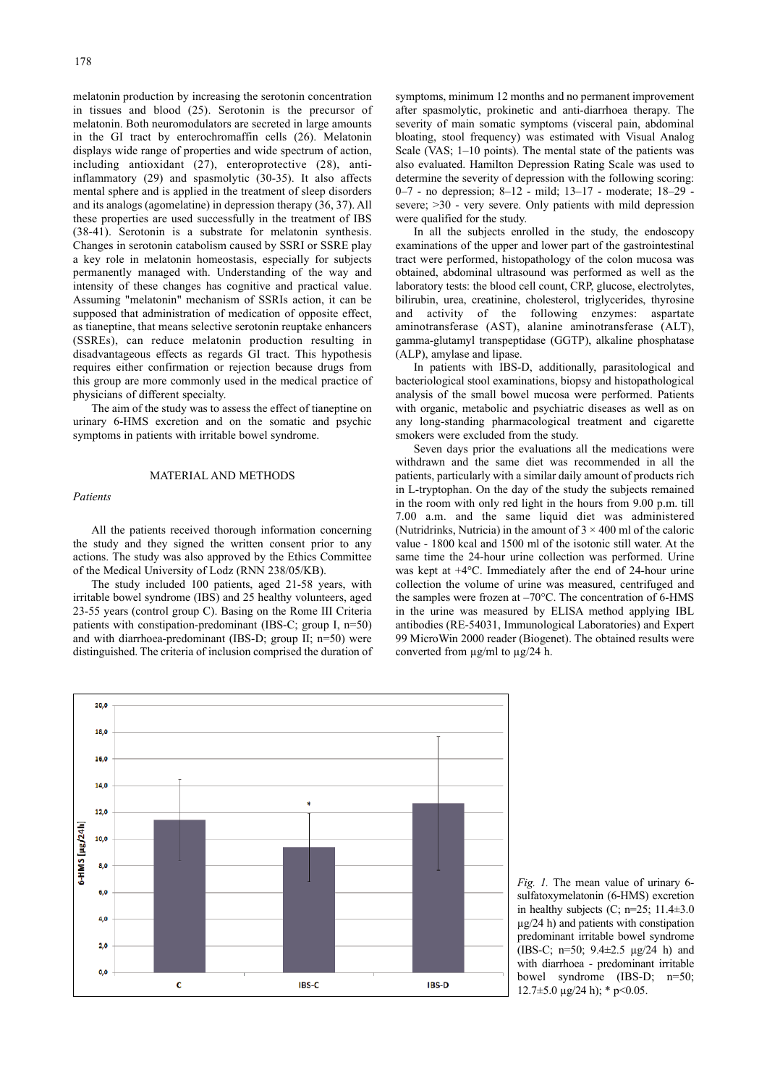melatonin production by increasing the serotonin concentration in tissues and blood (25). Serotonin is the precursor of melatonin. Both neuromodulators are secreted in large amounts in the GI tract by enterochromaffin cells (26). Melatonin displays wide range of properties and wide spectrum of action, including antioxidant (27), enteroprotective (28), antiinflammatory (29) and spasmolytic (30-35). It also affects mental sphere and is applied in the treatment of sleep disorders and its analogs (agomelatine) in depression therapy (36, 37). All these properties are used successfully in the treatment of IBS (38-41). Serotonin is a substrate for melatonin synthesis. Changes in serotonin catabolism caused by SSRI or SSRE play a key role in melatonin homeostasis, especially for subjects permanently managed with. Understanding of the way and intensity of these changes has cognitive and practical value. Assuming "melatonin" mechanism of SSRIs action, it can be supposed that administration of medication of opposite effect, as tianeptine, that means selective serotonin reuptake enhancers (SSREs), can reduce melatonin production resulting in disadvantageous effects as regards GI tract. This hypothesis requires either confirmation or rejection because drugs from this group are more commonly used in the medical practice of physicians of different specialty.

The aim of the study was to assess the effect of tianeptine on urinary 6-HMS excretion and on the somatic and psychic symptoms in patients with irritable bowel syndrome.

## MATERIAL AND METHODS

#### *Patients*

All the patients received thorough information concerning the study and they signed the written consent prior to any actions. The study was also approved by the Ethics Committee of the Medical University of Lodz (RNN 238/05/KB).

The study included 100 patients, aged 21-58 years, with irritable bowel syndrome (IBS) and 25 healthy volunteers, aged 23-55 years (control group C). Basing on the Rome III Criteria patients with constipation-predominant (IBS-C; group I, n=50) and with diarrhoea-predominant (IBS-D; group II; n=50) were distinguished. The criteria of inclusion comprised the duration of symptoms, minimum 12 months and no permanent improvement after spasmolytic, prokinetic and anti-diarrhoea therapy. The severity of main somatic symptoms (visceral pain, abdominal bloating, stool frequency) was estimated with Visual Analog Scale (VAS; 1–10 points). The mental state of the patients was also evaluated. Hamilton Depression Rating Scale was used to determine the severity of depression with the following scoring: 0–7 - no depression; 8–12 - mild; 13–17 - moderate; 18–29 severe; >30 - very severe. Only patients with mild depression were qualified for the study.

In all the subjects enrolled in the study, the endoscopy examinations of the upper and lower part of the gastrointestinal tract were performed, histopathology of the colon mucosa was obtained, abdominal ultrasound was performed as well as the laboratory tests: the blood cell count, CRP, glucose, electrolytes, bilirubin, urea, creatinine, cholesterol, triglycerides, thyrosine and activity of the following enzymes: aspartate aminotransferase (AST), alanine aminotransferase (ALT), gamma-glutamyl transpeptidase (GGTP), alkaline phosphatase (ALP), amylase and lipase.

In patients with IBS-D, additionally, parasitological and bacteriological stool examinations, biopsy and histopathological analysis of the small bowel mucosa were performed. Patients with organic, metabolic and psychiatric diseases as well as on any long-standing pharmacological treatment and cigarette smokers were excluded from the study.

Seven days prior the evaluations all the medications were withdrawn and the same diet was recommended in all the patients, particularly with a similar daily amount of products rich in L-tryptophan. On the day of the study the subjects remained in the room with only red light in the hours from 9.00 p.m. till 7.00 a.m. and the same liquid diet was administered (Nutridrinks, Nutricia) in the amount of  $3 \times 400$  ml of the caloric value - 1800 kcal and 1500 ml of the isotonic still water. At the same time the 24-hour urine collection was performed. Urine was kept at +4°C. Immediately after the end of 24-hour urine collection the volume of urine was measured, centrifuged and the samples were frozen at –70°C. The concentration of 6-HMS in the urine was measured by ELISA method applying IBL antibodies (RE-54031, Immunological Laboratories) and Expert 99 MicroWin 2000 reader (Biogenet). The obtained results were converted from µg/ml to µg/24 h.



*Fig. 1.* The mean value of urinary 6 sulfatoxymelatonin (6-HMS) excretion in healthy subjects  $(C; n=25; 11.4\pm3.0)$ µg/24 h) and patients with constipation predominant irritable bowel syndrome (IBS-C; n=50;  $9.4 \pm 2.5$  µg/24 h) and with diarrhoea - predominant irritable bowel syndrome (IBS-D; n=50;  $12.7\pm5.0 \text{ }\mu\text{g}/24 \text{ h}$ ; \* p<0.05.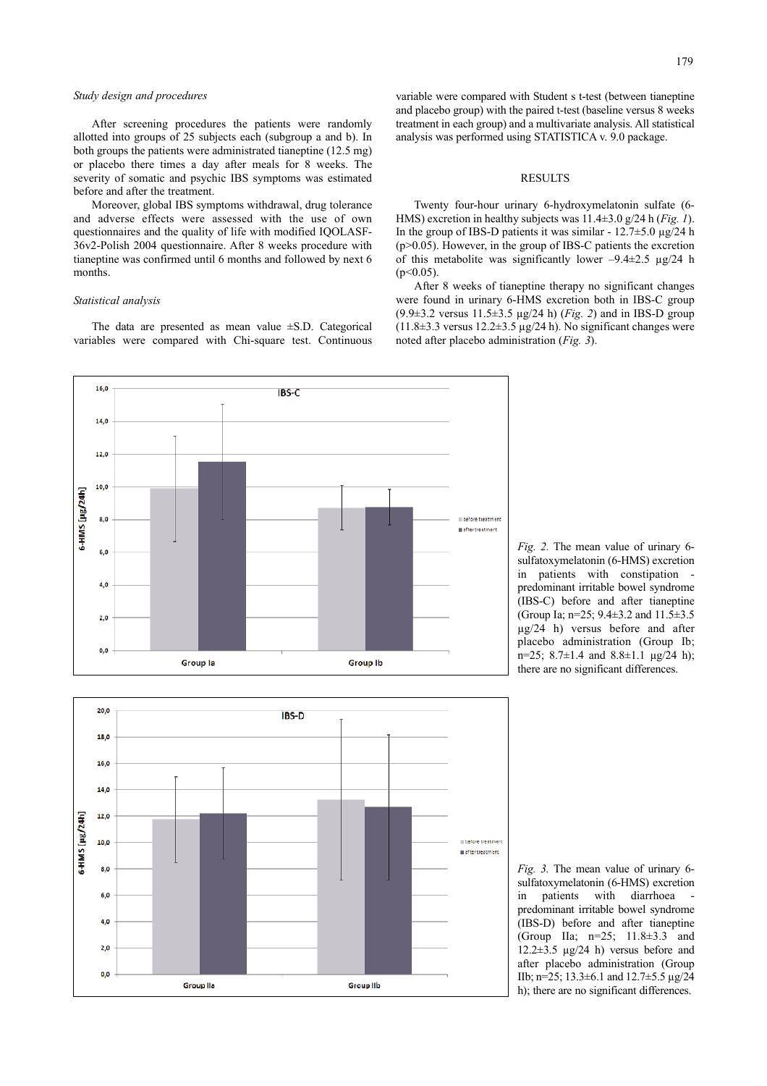#### *Study design and procedures*

After screening procedures the patients were randomly allotted into groups of 25 subjects each (subgroup a and b). In both groups the patients were administrated tianeptine (12.5 mg) or placebo there times a day after meals for 8 weeks. The severity of somatic and psychic IBS symptoms was estimated before and after the treatment.

Moreover, global IBS symptoms withdrawal, drug tolerance and adverse effects were assessed with the use of own questionnaires and the quality of life with modified IQOLASF-36v2-Polish 2004 questionnaire. After 8 weeks procedure with tianeptine was confirmed until 6 months and followed by next 6 months.

#### *Statistical analysis*

The data are presented as mean value ±S.D. Categorical variables were compared with Chi-square test. Continuous

variable were compared with Student s t-test (between tianeptine and placebo group) with the paired t-test (baseline versus 8 weeks treatment in each group) and a multivariate analysis. All statistical analysis was performed using STATISTICA v. 9.0 package.

## RESULTS

Twenty four-hour urinary 6-hydroxymelatonin sulfate (6- HMS) excretion in healthy subjects was 11.4±3.0 g/24 h (*Fig. 1*). In the group of IBS-D patients it was similar -  $12.7 \pm 5.0$   $\mu$ g/24 h (p>0.05). However, in the group of IBS-C patients the excretion of this metabolite was significantly lower  $-9.4 \pm 2.5$   $\mu$ g/24 h  $(p<0.05)$ .

After 8 weeks of tianeptine therapy no significant changes were found in urinary 6-HMS excretion both in IBS-C group (9.9±3.2 versus 11.5±3.5 µg/24 h) (*Fig. 2*) and in IBS-D group ( $11.8\pm3.3$  versus  $12.2\pm3.5$  µg/24 h). No significant changes were noted after placebo administration (*Fig. 3*).

*Fig. 2.* The mean value of urinary 6 sulfatoxymelatonin (6-HMS) excretion in patients with constipation predominant irritable bowel syndrome (IBS-C) before and after tianeptine (Group Ia; n=25; 9.4±3.2 and 11.5±3.5 µg/24 h) versus before and after placebo administration (Group Ib; n=25; 8.7±1.4 and 8.8±1.1 µg/24 h); there are no significant differences.





*Fig. 3.* The mean value of urinary 6 sulfatoxymelatonin (6-HMS) excretion in patients with diarrhoea predominant irritable bowel syndrome (IBS-D) before and after tianeptine (Group IIa; n=25; 11.8±3.3 and 12.2 $\pm$ 3.5  $\mu$ g/24 h) versus before and after placebo administration (Group IIb; n=25; 13.3±6.1 and 12.7±5.5 µg/24 h); there are no significant differences.

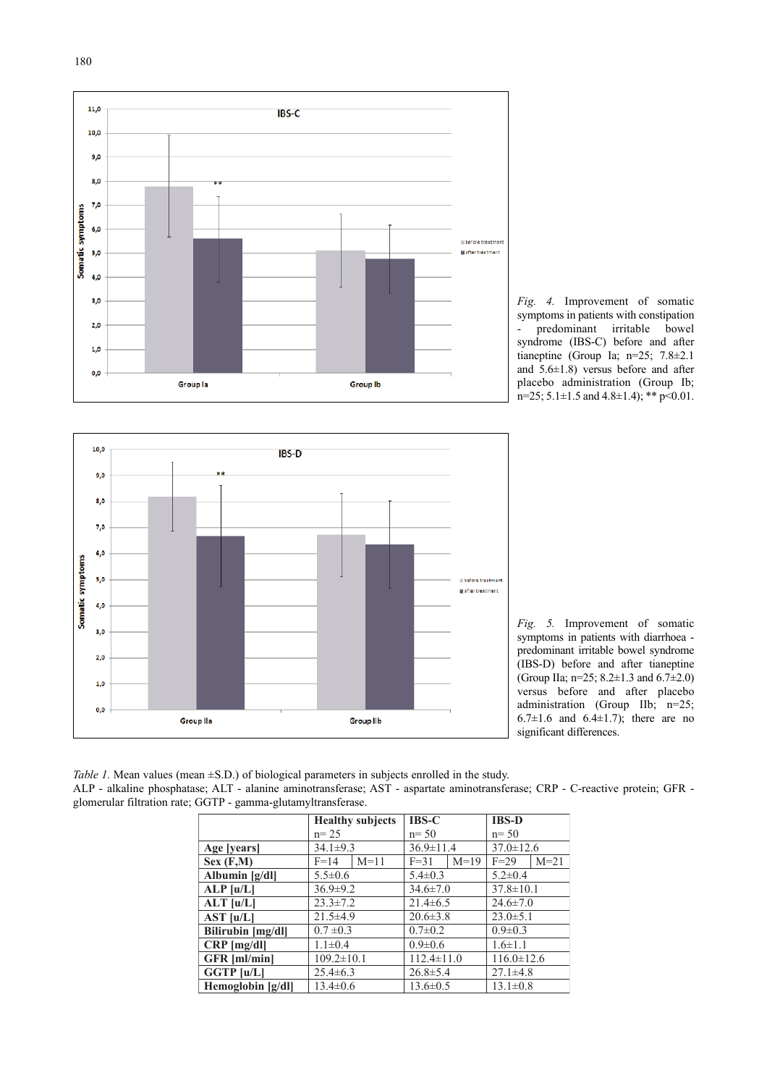

*Fig. 4.* Improvement of somatic symptoms in patients with constipation predominant irritable bowel syndrome (IBS-C) before and after tianeptine (Group Ia; n=25; 7.8±2.1 and 5.6±1.8) versus before and after placebo administration (Group Ib;  $n=25$ ; 5.1 $\pm$ 1.5 and 4.8 $\pm$ 1.4); \*\* p<0.01.



*Fig. 5.* Improvement of somatic symptoms in patients with diarrhoea predominant irritable bowel syndrome (IBS-D) before and after tianeptine (Group IIa; n=25; 8.2±1.3 and 6.7±2.0) versus before and after placebo administration (Group IIb; n=25; 6.7 $\pm$ 1.6 and 6.4 $\pm$ 1.7); there are no significant differences.

*Table 1.* Mean values (mean  $\pm$ S.D.) of biological parameters in subjects enrolled in the study. ALP - alkaline phosphatase; ALT - alanine aminotransferase; AST - aspartate aminotransferase; CRP - C-reactive protein; GFR glomerular filtration rate; GGTP - gamma-glutamyltransferase.

|                     | <b>Healthy subjects</b> | $IBS-C$            | <b>IBS-D</b>     |
|---------------------|-------------------------|--------------------|------------------|
|                     | $n = 25$                | $n = 50$           | $n = 50$         |
| Age [years]         | $34.1 \pm 9.3$          | $36.9 \pm 11.4$    | $37.0 \pm 12.6$  |
| Sex(F,M)            | $M=11$<br>$F=14$        | $M=19$<br>$F = 31$ | $F=29$<br>$M=21$ |
| Albumin [g/dl]      | $5.5 \pm 0.6$           | $5.4 \pm 0.3$      | $5.2 \pm 0.4$    |
| ALP [u/L]           | $36.9 \pm 9.2$          | $34.6 \pm 7.0$     | $37.8 \pm 10.1$  |
| $ALT$ [u/L]         | $23.3 \pm 7.2$          | $21.4\pm 6.5$      | $24.6 \pm 7.0$   |
| AST [u/L]           | $21.5\pm4.9$            | $20.6 \pm 3.8$     | $23.0 \pm 5.1$   |
| Bilirubin [mg/dl]   | $0.7 \pm 0.3$           | $0.7 \pm 0.2$      | $0.9 \pm 0.3$    |
| $CRP$ [mg/dl]       | $1.1 \pm 0.4$           | $0.9 \pm 0.6$      | $1.6 \pm 1.1$    |
| <b>GFR</b> [ml/min] | $109.2 \pm 10.1$        | $112.4 \pm 11.0$   | $116.0 \pm 12.6$ |
| GGTP [u/L]          | $25.4\pm 6.3$           | $26.8 \pm 5.4$     | $27.1 \pm 4.8$   |
| Hemoglobin [g/dl]   | $13.4 \pm 0.6$          | $13.6 \pm 0.5$     | $13.1 \pm 0.8$   |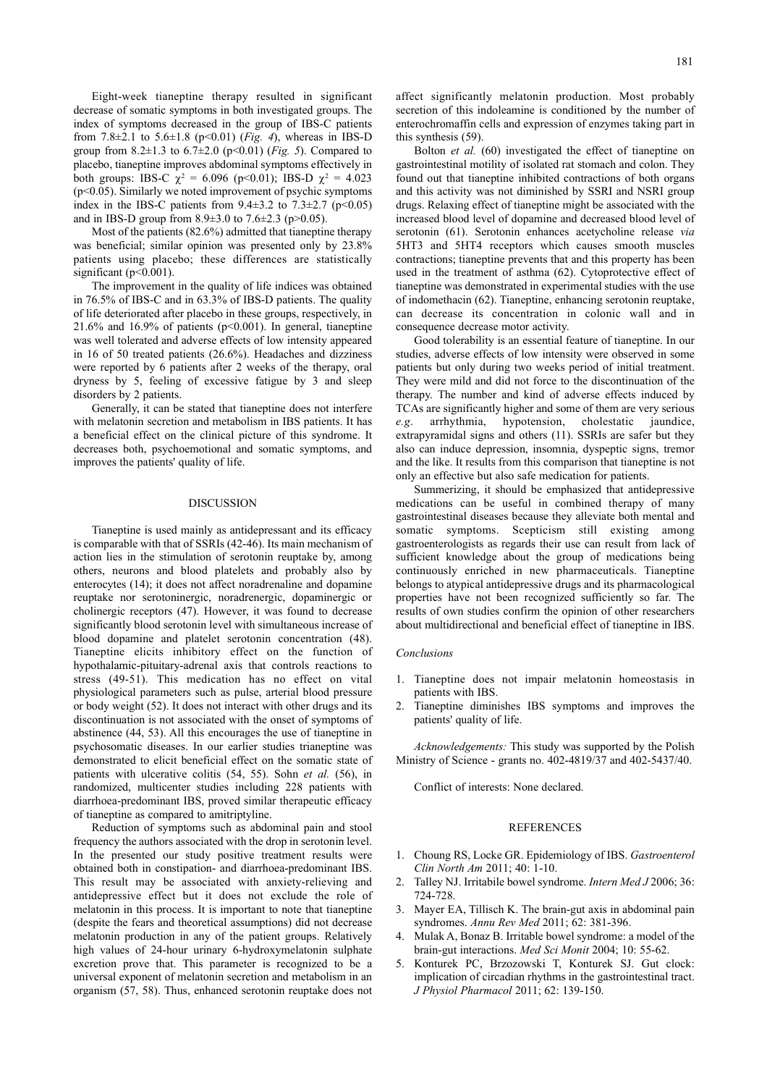Eight-week tianeptine therapy resulted in significant decrease of somatic symptoms in both investigated groups. The index of symptoms decreased in the group of IBS-C patients from 7.8±2.1 to 5.6±1.8 (p<0.01) (*Fig. 4*), whereas in IBS-D group from  $8.2 \pm 1.3$  to  $6.7 \pm 2.0$  ( $p < 0.01$ ) (*Fig. 5*). Compared to placebo, tianeptine improves abdominal symptoms effectively in both groups: IBS-C  $\chi^2 = 6.096$  (p<0.01); IBS-D  $\chi^2 = 4.023$ (p<0.05). Similarly we noted improvement of psychic symptoms index in the IBS-C patients from  $9.4 \pm 3.2$  to  $7.3 \pm 2.7$  (p<0.05) and in IBS-D group from  $8.9 \pm 3.0$  to  $7.6 \pm 2.3$  (p $>0.05$ ).

Most of the patients (82.6%) admitted that tianeptine therapy was beneficial; similar opinion was presented only by 23.8% patients using placebo; these differences are statistically significant (p<0.001).

The improvement in the quality of life indices was obtained in 76.5% of IBS-C and in 63.3% of IBS-D patients. The quality of life deteriorated after placebo in these groups, respectively, in 21.6% and 16.9% of patients ( $p$ <0.001). In general, tianeptine was well tolerated and adverse effects of low intensity appeared in 16 of 50 treated patients (26.6%). Headaches and dizziness were reported by 6 patients after 2 weeks of the therapy, oral dryness by 5, feeling of excessive fatigue by 3 and sleep disorders by 2 patients.

Generally, it can be stated that tianeptine does not interfere with melatonin secretion and metabolism in IBS patients. It has a beneficial effect on the clinical picture of this syndrome. It decreases both, psychoemotional and somatic symptoms, and improves the patients' quality of life.

## DISCUSSION

Tianeptine is used mainly as antidepressant and its efficacy is comparable with that of SSRIs (42-46). Its main mechanism of action lies in the stimulation of serotonin reuptake by, among others, neurons and blood platelets and probably also by enterocytes (14); it does not affect noradrenaline and dopamine reuptake nor serotoninergic, noradrenergic, dopaminergic or cholinergic receptors (47). However, it was found to decrease significantly blood serotonin level with simultaneous increase of blood dopamine and platelet serotonin concentration (48). Tianeptine elicits inhibitory effect on the function of hypothalamic-pituitary-adrenal axis that controls reactions to stress (49-51). This medication has no effect on vital physiological parameters such as pulse, arterial blood pressure or body weight (52). It does not interact with other drugs and its discontinuation is not associated with the onset of symptoms of abstinence (44, 53). All this encourages the use of tianeptine in psychosomatic diseases. In our earlier studies trianeptine was demonstrated to elicit beneficial effect on the somatic state of patients with ulcerative colitis (54, 55). Sohn *et al.* (56), in randomized, multicenter studies including 228 patients with diarrhoea-predominant IBS, proved similar therapeutic efficacy of tianeptine as compared to amitriptyline.

Reduction of symptoms such as abdominal pain and stool frequency the authors associated with the drop in serotonin level. In the presented our study positive treatment results were obtained both in constipation- and diarrhoea-predominant IBS. This result may be associated with anxiety-relieving and antidepressive effect but it does not exclude the role of melatonin in this process. It is important to note that tianeptine (despite the fears and theoretical assumptions) did not decrease melatonin production in any of the patient groups. Relatively high values of 24-hour urinary 6-hydroxymelatonin sulphate excretion prove that. This parameter is recognized to be a universal exponent of melatonin secretion and metabolism in an organism (57, 58). Thus, enhanced serotonin reuptake does not affect significantly melatonin production. Most probably secretion of this indoleamine is conditioned by the number of enterochromaffin cells and expression of enzymes taking part in this synthesis (59).

Bolton *et al.* (60) investigated the effect of tianeptine on gastrointestinal motility of isolated rat stomach and colon. They found out that tianeptine inhibited contractions of both organs and this activity was not diminished by SSRI and NSRI group drugs. Relaxing effect of tianeptine might be associated with the increased blood level of dopamine and decreased blood level of serotonin (61). Serotonin enhances acetycholine release *via* 5HT3 and 5HT4 receptors which causes smooth muscles contractions; tianeptine prevents that and this property has been used in the treatment of asthma (62). Cytoprotective effect of tianeptine was demonstrated in experimental studies with the use of indomethacin (62). Tianeptine, enhancing serotonin reuptake, can decrease its concentration in colonic wall and in consequence decrease motor activity.

Good tolerability is an essential feature of tianeptine. In our studies, adverse effects of low intensity were observed in some patients but only during two weeks period of initial treatment. They were mild and did not force to the discontinuation of the therapy. The number and kind of adverse effects induced by TCAs are significantly higher and some of them are very serious *e.g*. arrhythmia, hypotension, cholestatic jaundice, extrapyramidal signs and others (11). SSRIs are safer but they also can induce depression, insomnia, dyspeptic signs, tremor and the like. It results from this comparison that tianeptine is not only an effective but also safe medication for patients.

Summerizing, it should be emphasized that antidepressive medications can be useful in combined therapy of many gastrointestinal diseases because they alleviate both mental and somatic symptoms. Scepticism still existing among gastroenterologists as regards their use can result from lack of sufficient knowledge about the group of medications being continuously enriched in new pharmaceuticals. Tianeptine belongs to atypical antidepressive drugs and its pharmacological properties have not been recognized sufficiently so far. The results of own studies confirm the opinion of other researchers about multidirectional and beneficial effect of tianeptine in IBS.

#### *Conclusions*

- 1. Tianeptine does not impair melatonin homeostasis in patients with IBS.
- 2. Tianeptine diminishes IBS symptoms and improves the patients' quality of life.

*Acknowledgements:* This study was supported by the Polish Ministry of Science - grants no. 402-4819/37 and 402-5437/40.

Conflict of interests: None declared.

#### REFERENCES

- 1. Choung RS, Locke GR. Epidemiology of IBS. *Gastroenterol Clin North Am* 2011; 40: 1-10.
- 2. Talley NJ. Irritabile bowel syndrome. *Intern Med J* 2006; 36: 724-728.
- 3. Mayer EA, Tillisch K. The brain-gut axis in abdominal pain syndromes. *Annu Rev Med* 2011; 62: 381-396.
- 4. Mulak A, Bonaz B. Irritable bowel syndrome: a model of the brain-gut interactions. *Med Sci Monit* 2004; 10: 55-62.
- 5. Konturek PC, Brzozowski T, Konturek SJ. Gut clock: implication of circadian rhythms in the gastrointestinal tract. *J Physiol Pharmacol* 2011; 62: 139-150.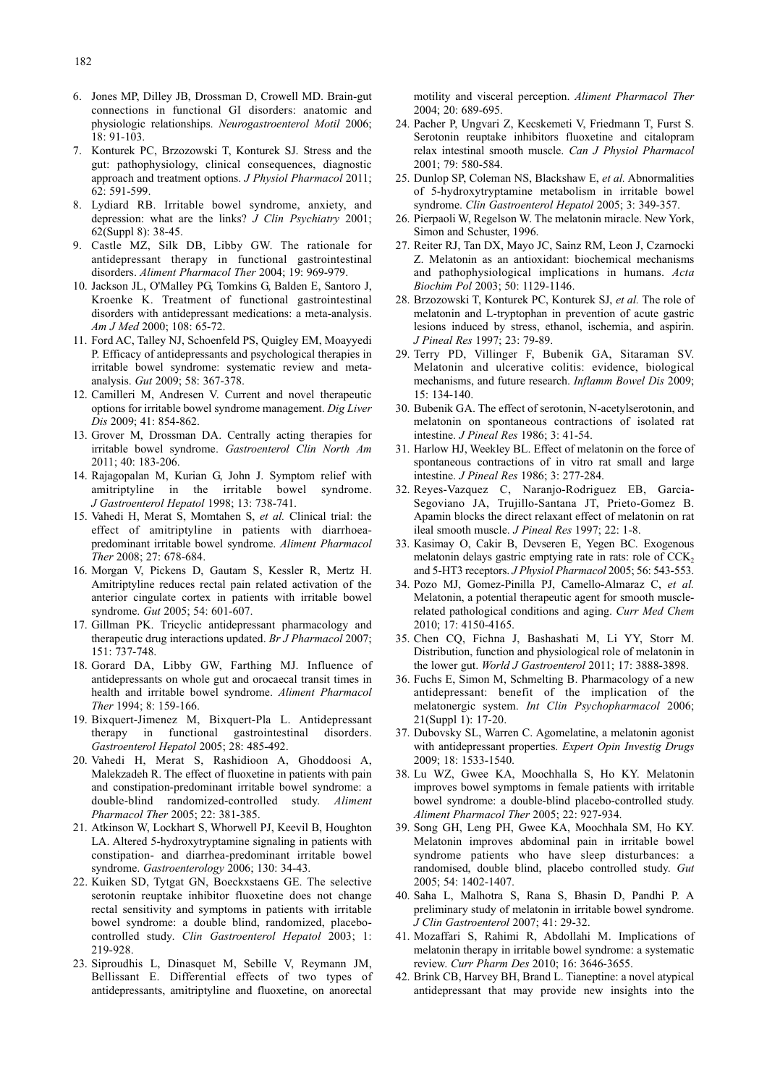- 6. Jones MP, Dilley JB, Drossman D, Crowell MD. Brain-gut connections in functional GI disorders: anatomic and physiologic relationships. *Neurogastroenterol Motil* 2006; 18: 91-103.
- 7. Konturek PC, Brzozowski T, Konturek SJ. Stress and the gut: pathophysiology, clinical consequences, diagnostic approach and treatment options. *J Physiol Pharmacol* 2011; 62: 591-599.
- 8. Lydiard RB. Irritable bowel syndrome, anxiety, and depression: what are the links? *J Clin Psychiatry* 2001; 62(Suppl 8): 38-45.
- 9. Castle MZ, Silk DB, Libby GW. The rationale for antidepressant therapy in functional gastrointestinal disorders. *Aliment Pharmacol Ther* 2004; 19: 969-979.
- 10. Jackson JL, O'Malley PG, Tomkins G, Balden E, Santoro J, Kroenke K. Treatment of functional gastrointestinal disorders with antidepressant medications: a meta-analysis. *Am J Med* 2000; 108: 65-72.
- 11. Ford AC, Talley NJ, Schoenfeld PS, Quigley EM, Moayyedi P. Efficacy of antidepressants and psychological therapies in irritable bowel syndrome: systematic review and metaanalysis. *Gut* 2009; 58: 367-378.
- 12. Camilleri M, Andresen V. Current and novel therapeutic options for irritable bowel syndrome management. *Dig Liver Dis* 2009; 41: 854-862.
- 13. Grover M, Drossman DA. Centrally acting therapies for irritable bowel syndrome. *Gastroenterol Clin North Am* 2011; 40: 183-206.
- 14. Rajagopalan M, Kurian G, John J. Symptom relief with amitriptyline in the irritable bowel syndrome. *J Gastroenterol Hepatol* 1998; 13: 738-741.
- 15. Vahedi H, Merat S, Momtahen S, *et al.* Clinical trial: the effect of amitriptyline in patients with diarrhoeapredominant irritable bowel syndrome. *Aliment Pharmacol Ther* 2008; 27: 678-684.
- 16. Morgan V, Pickens D, Gautam S, Kessler R, Mertz H. Amitriptyline reduces rectal pain related activation of the anterior cingulate cortex in patients with irritable bowel syndrome. *Gut* 2005; 54: 601-607.
- 17. Gillman PK. Tricyclic antidepressant pharmacology and therapeutic drug interactions updated. *Br J Pharmacol* 2007; 151: 737-748.
- 18. Gorard DA, Libby GW, Farthing MJ. Influence of antidepressants on whole gut and orocaecal transit times in health and irritable bowel syndrome. *Aliment Pharmacol Ther* 1994; 8: 159-166.
- 19. Bixquert-Jimenez M, Bixquert-Pla L. Antidepressant therapy in functional gastrointestinal disorders. *Gastroenterol Hepatol* 2005; 28: 485-492.
- 20. Vahedi H, Merat S, Rashidioon A, Ghoddoosi A, Malekzadeh R. The effect of fluoxetine in patients with pain and constipation-predominant irritable bowel syndrome: a double-blind randomized-controlled study. *Aliment Pharmacol Ther* 2005; 22: 381-385.
- 21. Atkinson W, Lockhart S, Whorwell PJ, Keevil B, Houghton LA. Altered 5-hydroxytryptamine signaling in patients with constipation- and diarrhea-predominant irritable bowel syndrome. *Gastroenterology* 2006; 130: 34-43.
- 22. Kuiken SD, Tytgat GN, Boeckxstaens GE. The selective serotonin reuptake inhibitor fluoxetine does not change rectal sensitivity and symptoms in patients with irritable bowel syndrome: a double blind, randomized, placebocontrolled study. *Clin Gastroenterol Hepatol* 2003; 1: 219-928.
- 23. Siproudhis L, Dinasquet M, Sebille V, Reymann JM, Bellissant E. Differential effects of two types of antidepressants, amitriptyline and fluoxetine, on anorectal

motility and visceral perception. *Aliment Pharmacol Ther* 2004; 20: 689-695.

- 24. Pacher P, Ungvari Z, Kecskemeti V, Friedmann T, Furst S. Serotonin reuptake inhibitors fluoxetine and citalopram relax intestinal smooth muscle. *Can J Physiol Pharmacol* 2001; 79: 580-584.
- 25. Dunlop SP, Coleman NS, Blackshaw E, *et al.* Abnormalities of 5-hydroxytryptamine metabolism in irritable bowel syndrome. *Clin Gastroenterol Hepatol* 2005; 3: 349-357.
- 26. Pierpaoli W, Regelson W. The melatonin miracle. New York, Simon and Schuster, 1996.
- 27. Reiter RJ, Tan DX, Mayo JC, Sainz RM, Leon J, Czarnocki Z. Melatonin as an antioxidant: biochemical mechanisms and pathophysiological implications in humans. *Acta Biochim Pol* 2003; 50: 1129-1146.
- 28. Brzozowski T, Konturek PC, Konturek SJ, *et al.* The role of melatonin and L-tryptophan in prevention of acute gastric lesions induced by stress, ethanol, ischemia, and aspirin. *J Pineal Res* 1997; 23: 79-89.
- 29. Terry PD, Villinger F, Bubenik GA, Sitaraman SV. Melatonin and ulcerative colitis: evidence, biological mechanisms, and future research. *Inflamm Bowel Dis* 2009; 15: 134-140.
- 30. Bubenik GA. The effect of serotonin, N-acetylserotonin, and melatonin on spontaneous contractions of isolated rat intestine. *J Pineal Res* 1986; 3: 41-54.
- 31. Harlow HJ, Weekley BL. Effect of melatonin on the force of spontaneous contractions of in vitro rat small and large intestine. *J Pineal Res* 1986; 3: 277-284.
- 32. Reyes-Vazquez C, Naranjo-Rodriguez EB, Garcia-Segoviano JA, Trujillo-Santana JT, Prieto-Gomez B. Apamin blocks the direct relaxant effect of melatonin on rat ileal smooth muscle. *J Pineal Res* 1997; 22: 1-8.
- 33. Kasimay O, Cakir B, Devseren E, Yegen BC. Exogenous melatonin delays gastric emptying rate in rats: role of  $CCK<sub>2</sub>$ and 5-HT3 receptors. *J Physiol Pharmacol* 2005; 56: 543-553.
- 34. Pozo MJ, Gomez-Pinilla PJ, Camello-Almaraz C, *et al.* Melatonin, a potential therapeutic agent for smooth musclerelated pathological conditions and aging. *Curr Med Chem* 2010; 17: 4150-4165.
- 35. Chen CQ, Fichna J, Bashashati M, Li YY, Storr M. Distribution, function and physiological role of melatonin in the lower gut. *World J Gastroenterol* 2011; 17: 3888-3898.
- 36. Fuchs E, Simon M, Schmelting B. Pharmacology of a new antidepressant: benefit of the implication of the melatonergic system. *Int Clin Psychopharmacol* 2006; 21(Suppl 1): 17-20.
- 37. Dubovsky SL, Warren C. Agomelatine, a melatonin agonist with antidepressant properties. *Expert Opin Investig Drugs* 2009; 18: 1533-1540.
- 38. Lu WZ, Gwee KA, Moochhalla S, Ho KY. Melatonin improves bowel symptoms in female patients with irritable bowel syndrome: a double-blind placebo-controlled study. *Aliment Pharmacol Ther* 2005; 22: 927-934.
- 39. Song GH, Leng PH, Gwee KA, Moochhala SM, Ho KY. Melatonin improves abdominal pain in irritable bowel syndrome patients who have sleep disturbances: a randomised, double blind, placebo controlled study. *Gut* 2005; 54: 1402-1407.
- 40. Saha L, Malhotra S, Rana S, Bhasin D, Pandhi P. A preliminary study of melatonin in irritable bowel syndrome. *J Clin Gastroenterol* 2007; 41: 29-32.
- 41. Mozaffari S, Rahimi R, Abdollahi M. Implications of melatonin therapy in irritable bowel syndrome: a systematic review. *Curr Pharm Des* 2010; 16: 3646-3655.
- 42. Brink CB, Harvey BH, Brand L. Tianeptine: a novel atypical antidepressant that may provide new insights into the